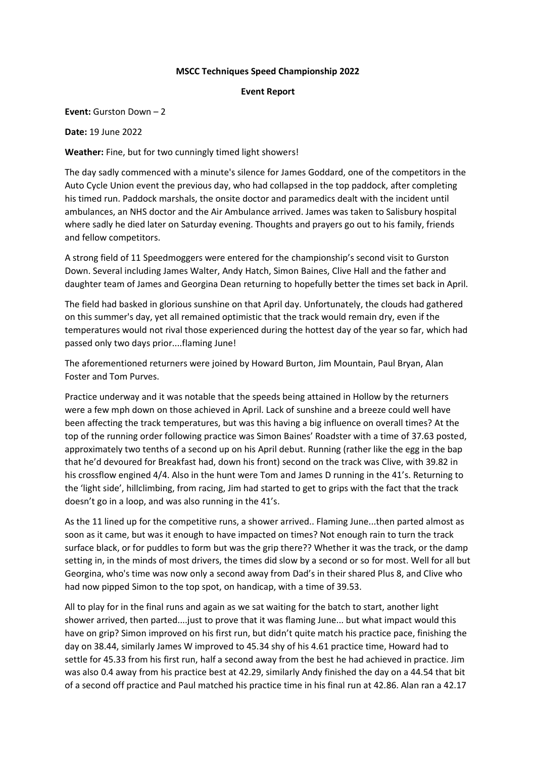## **MSCC Techniques Speed Championship 2022**

## **Event Report**

**Event:** Gurston Down – 2

**Date:** 19 June 2022

**Weather:** Fine, but for two cunningly timed light showers!

The day sadly commenced with a minute's silence for James Goddard, one of the competitors in the Auto Cycle Union event the previous day, who had collapsed in the top paddock, after completing his timed run. Paddock marshals, the onsite doctor and paramedics dealt with the incident until ambulances, an NHS doctor and the Air Ambulance arrived. James was taken to Salisbury hospital where sadly he died later on Saturday evening. Thoughts and prayers go out to his family, friends and fellow competitors.

A strong field of 11 Speedmoggers were entered for the championship's second visit to Gurston Down. Several including James Walter, Andy Hatch, Simon Baines, Clive Hall and the father and daughter team of James and Georgina Dean returning to hopefully better the times set back in April.

The field had basked in glorious sunshine on that April day. Unfortunately, the clouds had gathered on this summer's day, yet all remained optimistic that the track would remain dry, even if the temperatures would not rival those experienced during the hottest day of the year so far, which had passed only two days prior....flaming June!

The aforementioned returners were joined by Howard Burton, Jim Mountain, Paul Bryan, Alan Foster and Tom Purves.

Practice underway and it was notable that the speeds being attained in Hollow by the returners were a few mph down on those achieved in April. Lack of sunshine and a breeze could well have been affecting the track temperatures, but was this having a big influence on overall times? At the top of the running order following practice was Simon Baines' Roadster with a time of 37.63 posted, approximately two tenths of a second up on his April debut. Running (rather like the egg in the bap that he'd devoured for Breakfast had, down his front) second on the track was Clive, with 39.82 in his crossflow engined 4/4. Also in the hunt were Tom and James D running in the 41's. Returning to the 'light side', hillclimbing, from racing, Jim had started to get to grips with the fact that the track doesn't go in a loop, and was also running in the 41's.

As the 11 lined up for the competitive runs, a shower arrived.. Flaming June...then parted almost as soon as it came, but was it enough to have impacted on times? Not enough rain to turn the track surface black, or for puddles to form but was the grip there?? Whether it was the track, or the damp setting in, in the minds of most drivers, the times did slow by a second or so for most. Well for all but Georgina, who's time was now only a second away from Dad's in their shared Plus 8, and Clive who had now pipped Simon to the top spot, on handicap, with a time of 39.53.

All to play for in the final runs and again as we sat waiting for the batch to start, another light shower arrived, then parted....just to prove that it was flaming June... but what impact would this have on grip? Simon improved on his first run, but didn't quite match his practice pace, finishing the day on 38.44, similarly James W improved to 45.34 shy of his 4.61 practice time, Howard had to settle for 45.33 from his first run, half a second away from the best he had achieved in practice. Jim was also 0.4 away from his practice best at 42.29, similarly Andy finished the day on a 44.54 that bit of a second off practice and Paul matched his practice time in his final run at 42.86. Alan ran a 42.17